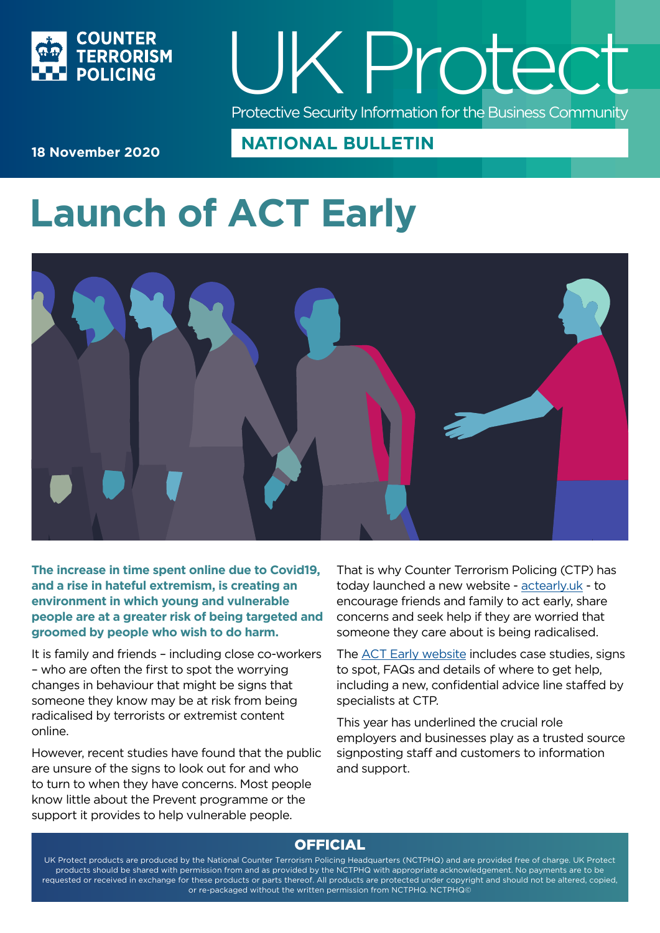

# UK P rotect Protective Security Information for the Business Community

**18 November 2020**

## **NATIONAL BULLETIN**

## **Launch of ACT Early**



**The increase in time spent online due to Covid19, and a rise in hateful extremism, is creating an environment in which young and vulnerable people are at a greater risk of being targeted and groomed by people who wish to do harm.**

It is family and friends – including close co-workers – who are often the first to spot the worrying changes in behaviour that might be signs that someone they know may be at risk from being radicalised by terrorists or extremist content online.

However, recent studies have found that the public are unsure of the signs to look out for and who to turn to when they have concerns. Most people know little about the Prevent programme or the support it provides to help vulnerable people.

That is why Counter Terrorism Policing (CTP) has today launched a new website - [actearly.uk](http://https://bit.ly/3lGtoKf) - to encourage friends and family to act early, share concerns and seek help if they are worried that someone they care about is being radicalised.

The [ACT Early website](https://bit.ly/3lGtoKf) includes case studies, signs to spot, FAQs and details of where to get help, including a new, confidential advice line staffed by specialists at CTP.

This year has underlined the crucial role employers and businesses play as a trusted source signposting staff and customers to information and support.

### **OFFICIAL**

UK Protect products are produced by the National Counter Terrorism Policing Headquarters (NCTPHQ) and are provided free of charge. UK Protect products should be shared with permission from and as provided by the NCTPHQ with appropriate acknowledgement. No payments are to be requested or received in exchange for these products or parts thereof. All products are protected under copyright and should not be altered, copied, or re-packaged without the written permission from NCTPHQ. NCTPHQ©